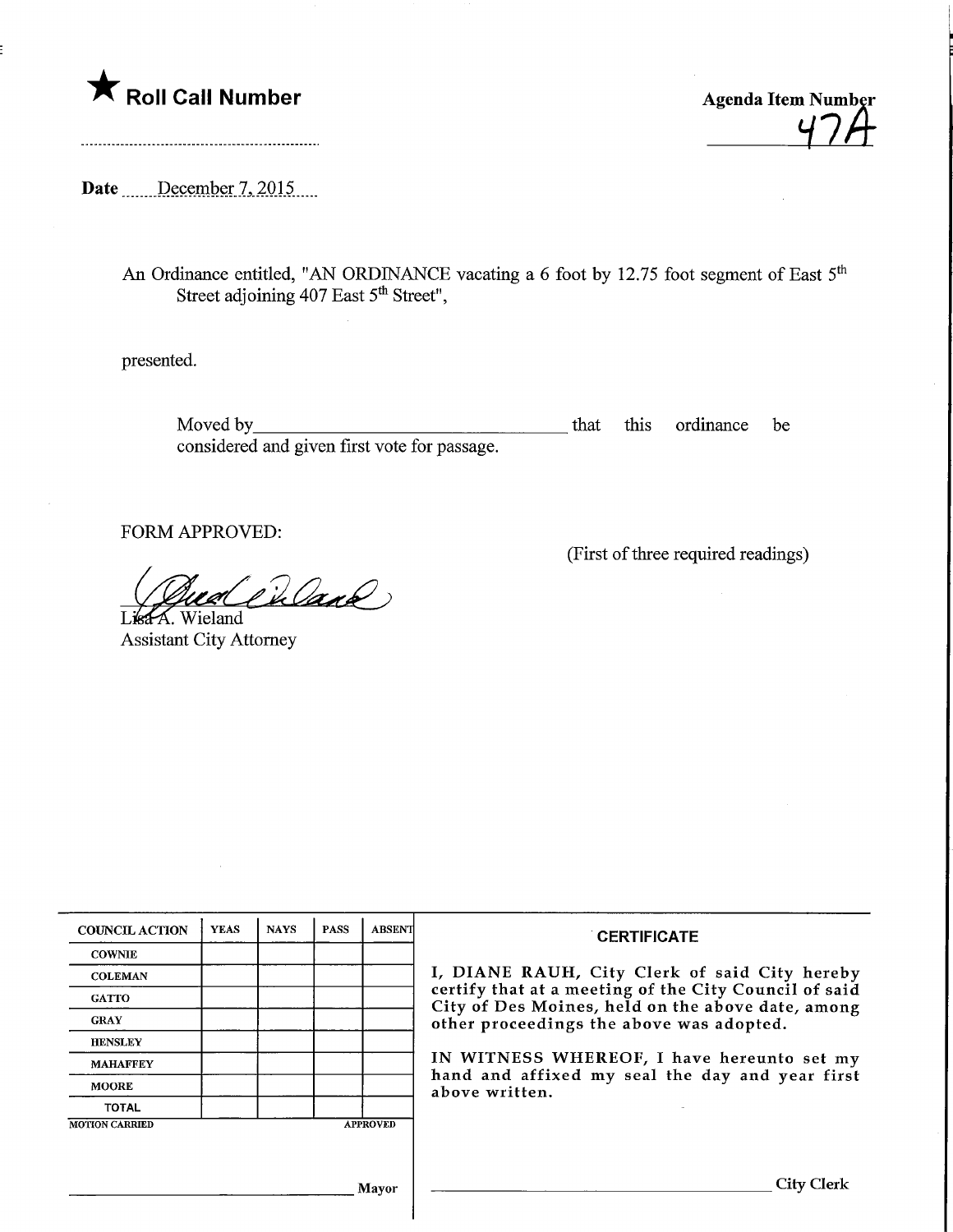



Date December 7, 2015

An Ordinance entitled, "AN ORDINANCE vacating a 6 foot by 12.75 foot segment of East 5<sup>t</sup> Street adjoining 407 East 5<sup>th</sup> Street",

presented.

Moved by that this ordinance be considered and given first vote for passage.

FORM APPROVED:

(First of three required readings)

LisaA. Wieland Gua Charl

Assistant City Attorney

| <b>COUNCIL ACTION</b> | <b>YEAS</b> | <b>NAYS</b> | <b>PASS</b> | <b>ABSENT</b>   | <b>CERTIFICATE</b><br>I, DIANE RAUH, City Clerk of said City hereby<br>certify that at a meeting of the City Council of said<br>City of Des Moines, held on the above date, among<br>other proceedings the above was adopted.<br>IN WITNESS WHEREOF, I have hereunto set my<br>hand and affixed my seal the day and year first<br>above written. |
|-----------------------|-------------|-------------|-------------|-----------------|--------------------------------------------------------------------------------------------------------------------------------------------------------------------------------------------------------------------------------------------------------------------------------------------------------------------------------------------------|
| <b>COWNIE</b>         |             |             |             |                 |                                                                                                                                                                                                                                                                                                                                                  |
| <b>COLEMAN</b>        |             |             |             |                 |                                                                                                                                                                                                                                                                                                                                                  |
| <b>GATTO</b>          |             |             |             |                 |                                                                                                                                                                                                                                                                                                                                                  |
| <b>GRAY</b>           |             |             |             |                 |                                                                                                                                                                                                                                                                                                                                                  |
| <b>HENSLEY</b>        |             |             |             |                 |                                                                                                                                                                                                                                                                                                                                                  |
| <b>MAHAFFEY</b>       |             |             |             |                 |                                                                                                                                                                                                                                                                                                                                                  |
| <b>MOORE</b>          |             |             |             |                 |                                                                                                                                                                                                                                                                                                                                                  |
| <b>TOTAL</b>          |             |             |             |                 |                                                                                                                                                                                                                                                                                                                                                  |
| <b>MOTION CARRIED</b> |             |             |             | <b>APPROVED</b> |                                                                                                                                                                                                                                                                                                                                                  |
|                       |             |             |             |                 |                                                                                                                                                                                                                                                                                                                                                  |
|                       |             |             |             | Mayor           | City (                                                                                                                                                                                                                                                                                                                                           |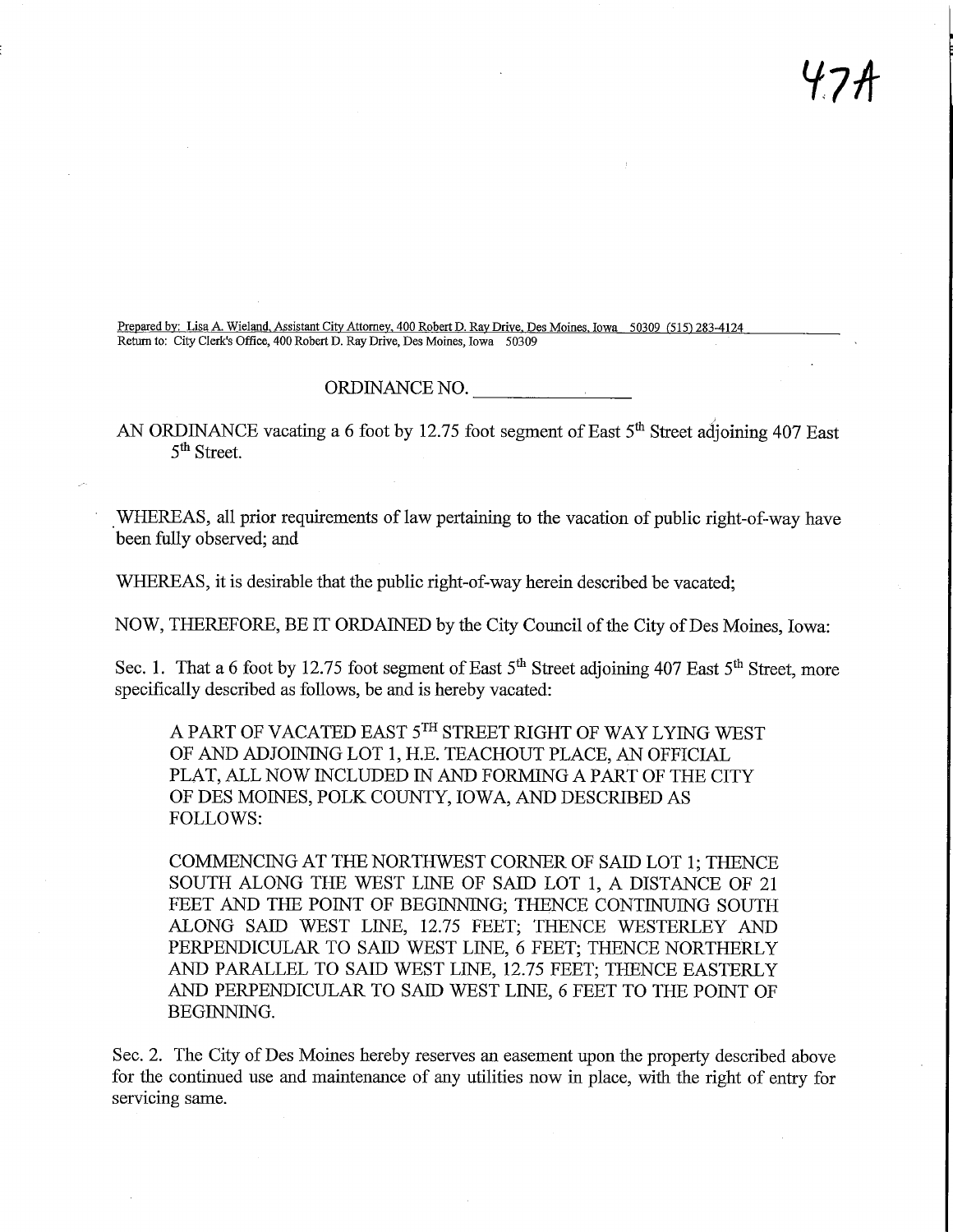Prepared by: Lisa A. Wieland, Assistant City Attorney. 400 Robert D. Ray Drive, Des Moines. Iowa 50309 (515) 283-4124 Return to: City Clerk's Office, 400 Robert D. Ray Drive, Des Moines, Iowa 50309

## ORDINANCE NO.

AN ORDINANCE vacating a 6 foot by 12.75 foot segment of East 5<sup>th</sup> Street adjoining 407 East 5<sup>th</sup> Street.

WHEREAS, all prior requirements of law pertaining to the vacation of public right-of-way have been fully observed; and

WHEREAS, it is desirable that the public right-of-way herein described be vacated;

NOW, THEREFORE, BE IT ORDAINED by the City Council of the City of Des Moines, Iowa:

Sec. 1. That a 6 foot by 12.75 foot segment of East  $5<sup>th</sup>$  Street adjoining 407 East  $5<sup>th</sup>$  Street, more specifically described as follows, be and is hereby vacated:

A PART OF VACATED EAST 5TH STREET RIGHT OF WAY LYING WEST OF AND ADJOINING LOT 1, H.E. TEACHOUT PLACE, AN OFFICIAL PLAT, ALL NOW INCLUDED IN AND FORMING A PART OF THE CITY OF DES MOINES, POLK COUNTY, IOWA, AND DESCRIBED AS FOLLOWS:

COMMENCING AT THE NORTHWEST CORNER OF SAID LOT 1; THENCE SOUTH ALONG THE WEST LINE OF SAID LOT 1, A DISTANCE OF 21 FEET AND THE POINT OF BEGINNING; THENCE CONTINUING SOUTH ALONG SAID WEST LINE, 12.75 FEET; THENCE WESTERLEY AND PERPENDICULAR TO SAID WEST LINE, 6 FEET; THENCE NORTHERLY AND PARALLEL TO SAID WEST LINE, 12.75 FEET; THENCE EASTERLY AND PERPENDICULAR TO SAID WEST LINE, 6 FEET TO THE POINT OF BEGINNING.

Sec. 2. The City of Des Moines hereby reserves an easement upon the property described above for the continued use and maintenance of any utilities now in place, with the right of entry for servicing same.